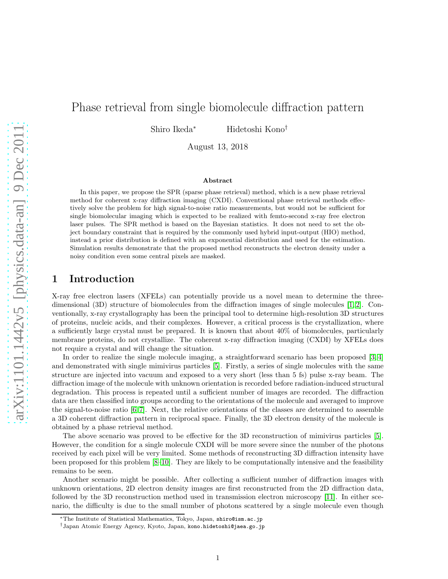# Phase retrieval from single biomolecule diffraction pattern

Shiro Ikeda<sup>∗</sup> Hidetoshi Kono†

August 13, 2018

#### Abstract

In this paper, we propose the SPR (sparse phase retrieval) method, which is a new phase retrieval method for coherent x-ray diffraction imaging (CXDI). Conventional phase retrieval methods effectively solve the problem for high signal-to-noise ratio measurements, but would not be sufficient for single biomolecular imaging which is expected to be realized with femto-second x-ray free electron laser pulses. The SPR method is based on the Bayesian statistics. It does not need to set the object boundary constraint that is required by the commonly used hybrid input-output (HIO) method, instead a prior distribution is defined with an exponential distribution and used for the estimation. Simulation results demonstrate that the proposed method reconstructs the electron density under a noisy condition even some central pixels are masked.

### 1 Introduction

X-ray free electron lasers (XFELs) can potentially provide us a novel mean to determine the threedimensional (3D) structure of biomolecules from the diffraction images of single molecules [\[1,](#page-11-0) [2\]](#page-11-1). Conventionally, x-ray crystallography has been the principal tool to determine high-resolution 3D structures of proteins, nucleic acids, and their complexes. However, a critical process is the crystallization, where a sufficiently large crystal must be prepared. It is known that about 40% of biomolecules, particularly membrane proteins, do not crystallize. The coherent x-ray diffraction imaging (CXDI) by XFELs does not require a crystal and will change the situation.

In order to realize the single molecule imaging, a straightforward scenario has been proposed [\[3,](#page-11-2) [4\]](#page-11-3) and demonstrated with single mimivirus particles [\[5\]](#page-11-4). Firstly, a series of single molecules with the same structure are injected into vacuum and exposed to a very short (less than 5 fs) pulse x-ray beam. The diffraction image of the molecule with unknown orientation is recorded before radiation-induced structural degradation. This process is repeated until a sufficient number of images are recorded. The diffraction data are then classified into groups according to the orientations of the molecule and averaged to improve the signal-to-noise ratio  $[6, 7]$  $[6, 7]$ . Next, the relative orientations of the classes are determined to assemble a 3D coherent diffraction pattern in reciprocal space. Finally, the 3D electron density of the molecule is obtained by a phase retrieval method.

The above scenario was proved to be effective for the 3D reconstruction of mimivirus particles [\[5\]](#page-11-4). However, the condition for a single molecule CXDI will be more severe since the number of the photons received by each pixel will be very limited. Some methods of reconstructing 3D diffraction intensity have been proposed for this problem [\[8–](#page-11-7)[10\]](#page-11-8). They are likely to be computationally intensive and the feasibility remains to be seen.

Another scenario might be possible. After collecting a sufficient number of diffraction images with unknown orientations, 2D electron density images are first reconstructed from the 2D diffraction data, followed by the 3D reconstruction method used in transmission electron microscopy [\[11\]](#page-12-0). In either scenario, the difficulty is due to the small number of photons scattered by a single molecule even though

<sup>∗</sup>The Institute of Statistical Mathematics, Tokyo, Japan, shiro@ism.ac.jp

<sup>†</sup>Japan Atomic Energy Agency, Kyoto, Japan, kono.hidetoshi@jaea.go.jp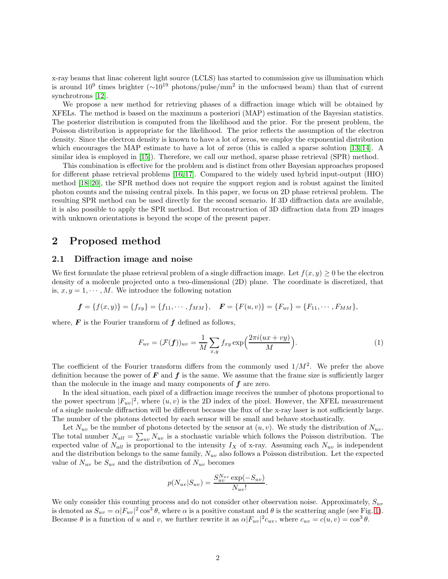x-ray beams that linac coherent light source (LCLS) has started to commission give us illumination which is around  $10^9$  times brighter ( $\sim$ 10<sup>19</sup> photons/pulse/mm<sup>2</sup> in the unfocused beam) than that of current synchrotrons [\[12\]](#page-12-1).

We propose a new method for retrieving phases of a diffraction image which will be obtained by XFELs. The method is based on the maximum a posteriori (MAP) estimation of the Bayesian statistics. The posterior distribution is computed from the likelihood and the prior. For the present problem, the Poisson distribution is appropriate for the likelihood. The prior reflects the assumption of the electron density. Since the electron density is known to have a lot of zeros, we employ the exponential distribution which encourages the MAP estimate to have a lot of zeros (this is called a sparse solution [\[13,](#page-12-2) [14\]](#page-12-3). A similar idea is employed in [\[15\]](#page-12-4)). Therefore, we call our method, sparse phase retrieval (SPR) method.

This combination is effective for the problem and is distinct from other Bayesian approaches proposed for different phase retrieval problems [\[16,](#page-12-5) [17\]](#page-12-6). Compared to the widely used hybrid input-output (HIO) method [\[18](#page-12-7)[–20\]](#page-12-8), the SPR method does not require the support region and is robust against the limited photon counts and the missing central pixels. In this paper, we focus on 2D phase retrieval problem. The resulting SPR method can be used directly for the second scenario. If 3D diffraction data are available, it is also possible to apply the SPR method. But reconstruction of 3D diffraction data from 2D images with unknown orientations is beyond the scope of the present paper.

### 2 Proposed method

### 2.1 Diffraction image and noise

We first formulate the phase retrieval problem of a single diffraction image. Let  $f(x, y) \geq 0$  be the electron density of a molecule projected onto a two-dimensional (2D) plane. The coordinate is discretized, that is,  $x, y = 1, \dots, M$ . We introduce the following notation

$$
f = \{f(x, y)\} = \{f_{xy}\} = \{f_{11}, \dots, f_{MM}\}, \quad \mathbf{F} = \{F(u, v)\} = \{F_{uv}\} = \{F_{11}, \dots, F_{MM}\},
$$

where,  $\boldsymbol{F}$  is the Fourier transform of  $\boldsymbol{f}$  defined as follows,

$$
F_{uv} = (\mathcal{F}(\boldsymbol{f}))_{uv} = \frac{1}{M} \sum_{x,y} f_{xy} \exp\left(\frac{2\pi i (ux + vy)}{M}\right).
$$
 (1)

The coefficient of the Fourier transform differs from the commonly used  $1/M^2$ . We prefer the above definition because the power of  $\bf{F}$  and  $\bf{f}$  is the same. We assume that the frame size is sufficiently larger than the molecule in the image and many components of  $f$  are zero.

In the ideal situation, each pixel of a diffraction image receives the number of photons proportional to the power spectrum  $|F_{uv}|^2$ , where  $(u, v)$  is the 2D index of the pixel. However, the XFEL measurement of a single molecule diffraction will be different because the flux of the x-ray laser is not sufficiently large. The number of the photons detected by each sensor will be small and behave stochastically.

Let  $N_{uv}$  be the number of photons detected by the sensor at  $(u, v)$ . We study the distribution of  $N_{uv}$ . The total number  $N_{all} = \sum_{uv} N_{uv}$  is a stochastic variable which follows the Poisson distribution. The expected value of  $N_{all}$  is proportional to the intensity  $I_X$  of x-ray. Assuming each  $N_{uv}$  is independent and the distribution belongs to the same family,  $N_{uv}$  also follows a Poisson distribution. Let the expected value of  $N_{uv}$  be  $S_{uv}$  and the distribution of  $N_{uv}$  becomes

$$
p(N_{uv}|S_{uv}) = \frac{S_{uv}^{N_{uv}} \exp(-S_{uv})}{N_{uv}!}.
$$

We only consider this counting process and do not consider other observation noise. Approximately,  $S_{uv}$ is denoted as  $S_{uv} = \alpha |F_{uv}|^2 \cos^3 \theta$ , where  $\alpha$  is a positive constant and  $\theta$  is the scattering angle (see Fig. [1\)](#page-2-0). Because  $\theta$  is a function of u and v, we further rewrite it as  $\alpha |F_{uv}|^2 c_{uv}$ , where  $c_{uv} = c(u, v) = \cos^3 \theta$ .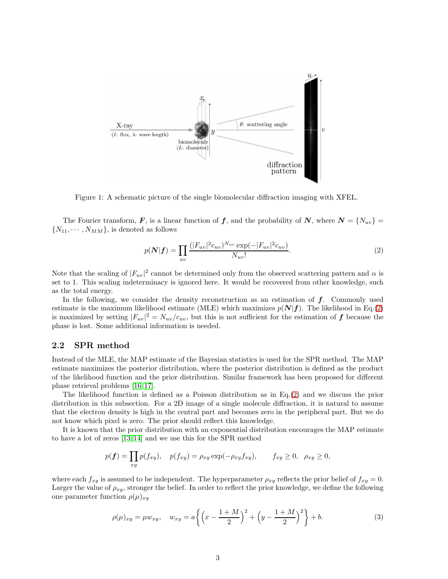

<span id="page-2-0"></span>Figure 1: A schematic picture of the single biomolecular diffraction imaging with XFEL.

The Fourier transform, F, is a linear function of f, and the probability of N, where  $N = \{N_{uv}\}$  $\{N_{11}, \cdots, N_{MM}\}\$ , is denoted as follows

<span id="page-2-1"></span>
$$
p(\mathbf{N}|\mathbf{f}) = \prod_{uv} \frac{(|F_{uv}|^2 c_{uv})^{N_{uv}} \exp(-|F_{uv}|^2 c_{uv})}{N_{uv}!}.
$$
 (2)

Note that the scaling of  $|F_{uv}|^2$  cannot be determined only from the observed scattering pattern and  $\alpha$  is set to 1. This scaling indeterminacy is ignored here. It would be recovered from other knowledge, such as the total energy.

In the following, we consider the density reconstruction as an estimation of  $f$ . Commonly used estimate is the maximum likelihood estimate (MLE) which maximizes  $p(N|f)$ . The likelihood in Eq.[\(2\)](#page-2-1) is maximized by setting  $|F_{uv}|^2 = N_{uv}/c_{uv}$ , but this is not sufficient for the estimation of f because the phase is lost. Some additional information is needed.

### 2.2 SPR method

Instead of the MLE, the MAP estimate of the Bayesian statistics is used for the SPR method. The MAP estimate maximizes the posterior distribution, where the posterior distribution is defined as the product of the likelihood function and the prior distribution. Similar framework has been proposed for different phase retrieval problems [\[16,](#page-12-5) [17\]](#page-12-6).

The likelihood function is defined as a Poisson distribution as in Eq.[\(2\)](#page-2-1) and we discuss the prior distribution in this subsection. For a 2D image of a single molecule diffraction, it is natural to assume that the electron density is high in the central part and becomes zero in the peripheral part. But we do not know which pixel is zero. The prior should reflect this knowledge.

It is known that the prior distribution with an exponential distribution encourages the MAP estimate to have a lot of zeros [\[13,](#page-12-2) [14\]](#page-12-3) and we use this for the SPR method

$$
p(\mathbf{f}) = \prod_{xy} p(f_{xy}), \quad p(f_{xy}) = \rho_{xy} \exp(-\rho_{xy} f_{xy}), \qquad f_{xy} \ge 0, \quad \rho_{xy} \ge 0,
$$

where each  $f_{xy}$  is assumed to be independent. The hyperparameter  $\rho_{xy}$  reflects the prior belief of  $f_{xy} = 0$ . Larger the value of  $\rho_{xy}$ , stronger the belief. In order to reflect the prior knowledge, we define the following one parameter function  $\rho(\mu)_{xy}$ 

$$
\rho(\mu)_{xy} = \mu w_{xy}, \quad w_{xy} = a \left\{ \left( x - \frac{1+M}{2} \right)^2 + \left( y - \frac{1+M}{2} \right)^2 \right\} + b. \tag{3}
$$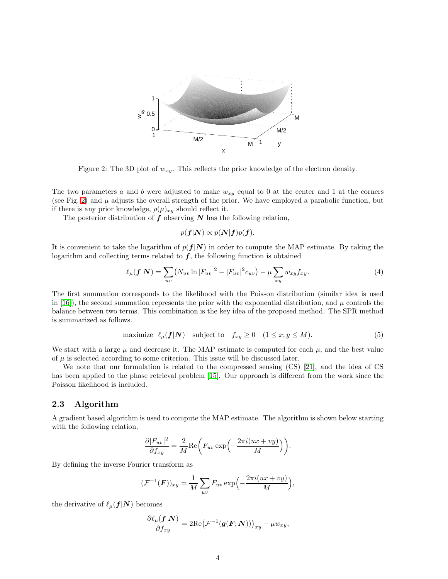

<span id="page-3-0"></span>Figure 2: The 3D plot of  $w_{xy}$ . This reflects the prior knowledge of the electron density.

The two parameters a and b were adjusted to make  $w_{xy}$  equal to 0 at the center and 1 at the corners (see Fig. [2\)](#page-3-0) and  $\mu$  adjusts the overall strength of the prior. We have employed a parabolic function, but if there is any prior knowledge,  $\rho(\mu)_{xy}$  should reflect it.

The posterior distribution of  $f$  observing  $N$  has the following relation,

$$
p(\boldsymbol{f}|\boldsymbol{N}) \propto p(\boldsymbol{N}|\boldsymbol{f})p(\boldsymbol{f}).
$$

It is convenient to take the logarithm of  $p(f|N)$  in order to compute the MAP estimate. By taking the logarithm and collecting terms related to  $f$ , the following function is obtained

<span id="page-3-1"></span>
$$
\ell_{\mu}(\mathbf{f}|\mathbf{N}) = \sum_{uv} (N_{uv} \ln |F_{uv}|^2 - |F_{uv}|^2 c_{uv}) - \mu \sum_{xy} w_{xy} f_{xy}.
$$
 (4)

The first summation corresponds to the likelihood with the Poisson distribution (similar idea is used in [\[16\]](#page-12-5)), the second summation represents the prior with the exponential distribution, and  $\mu$  controls the balance between two terms. This combination is the key idea of the proposed method. The SPR method is summarized as follows.

maximize 
$$
\ell_{\mu}(\mathbf{f}|\mathbf{N})
$$
 subject to  $f_{xy} \ge 0$   $(1 \le x, y \le M).$  (5)

We start with a large  $\mu$  and decrease it. The MAP estimate is computed for each  $\mu$ , and the best value of  $\mu$  is selected according to some criterion. This issue will be discussed later.

We note that our formulation is related to the compressed sensing (CS) [\[21\]](#page-12-9), and the idea of CS has been applied to the phase retrieval problem [\[15\]](#page-12-4). Our approach is different from the work since the Poisson likelihood is included.

### 2.3 Algorithm

A gradient based algorithm is used to compute the MAP estimate. The algorithm is shown below starting with the following relation,

$$
\frac{\partial |F_{uv}|^2}{\partial f_{xy}} = \frac{2}{M} \text{Re}\bigg(F_{uv} \exp\bigg(-\frac{2\pi i (ux + vy)}{M}\bigg)\bigg).
$$

By defining the inverse Fourier transform as

$$
(\mathcal{F}^{-1}(\boldsymbol{F}))_{xy} = \frac{1}{M} \sum_{uv} F_{uv} \exp\left(-\frac{2\pi i (ux + vy)}{M}\right),
$$

the derivative of  $\ell_{\mu}(\boldsymbol{f}|\boldsymbol{N})$  becomes

$$
\frac{\partial \ell_{\mu}(\mathbf{f}|\mathbf{N})}{\partial f_{xy}} = 2\mathrm{Re}(\mathcal{F}^{-1}(\mathbf{g}(\mathbf{F};\mathbf{N})))_{xy} - \mu w_{xy},
$$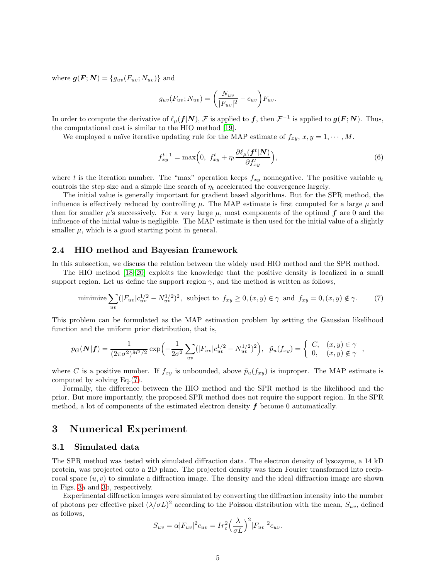where  $g(F; N) = \{g_{uv}(F_{uv}; N_{uv})\}$  and

$$
g_{uv}(F_{uv}; N_{uv}) = \left(\frac{N_{uv}}{|F_{uv}|^2} - c_{uv}\right)F_{uv}.
$$

In order to compute the derivative of  $\ell_{\mu}(\bm{f}|\bm{N}), \bm{\mathcal{F}}$  is applied to  $\bm{f}$ , then  $\bm{\mathcal{F}}^{-1}$  is applied to  $\bm{g}(\bm{F};\bm{N})$ . Thus, the computational cost is similar to the HIO method [\[19\]](#page-12-10).

We employed a naïve iterative updating rule for the MAP estimate of  $f_{xy}$ ,  $x, y = 1, \dots, M$ .

$$
f_{xy}^{t+1} = \max\Big(0, \ f_{xy}^t + \eta_t \frac{\partial \ell_\mu(f^t|N)}{\partial f_{xy}^t}\Big),\tag{6}
$$

<span id="page-4-0"></span>,

where t is the iteration number. The "max" operation keeps  $f_{xy}$  nonnegative. The positive variable  $\eta_t$ controls the step size and a simple line search of  $\eta_t$  accelerated the convergence largely.

The initial value is generally important for gradient based algorithms. But for the SPR method, the influence is effectively reduced by controlling  $\mu$ . The MAP estimate is first computed for a large  $\mu$  and then for smaller  $\mu$ 's successively. For a very large  $\mu$ , most components of the optimal f are 0 and the influence of the initial value is negligible. The MAP estimate is then used for the initial value of a slightly smaller  $\mu$ , which is a good starting point in general.

#### 2.4 HIO method and Bayesian framework

In this subsection, we discuss the relation between the widely used HIO method and the SPR method.

The HIO method [\[18](#page-12-7)[–20\]](#page-12-8) exploits the knowledge that the positive density is localized in a small support region. Let us define the support region  $\gamma$ , and the method is written as follows,

minimize 
$$
\sum_{uv} (|F_{uv}|c_{uv}^{1/2} - N_{uv}^{1/2})^2
$$
, subject to  $f_{xy} \ge 0$ ,  $(x, y) \in \gamma$  and  $f_{xy} = 0$ ,  $(x, y) \notin \gamma$ . (7)

This problem can be formulated as the MAP estimation problem by setting the Gaussian likelihood function and the uniform prior distribution, that is,

$$
p_G(\mathbf{N}|\mathbf{f}) = \frac{1}{(2\pi\sigma^2)^{M^2/2}} \exp\left(-\frac{1}{2\sigma^2} \sum_{uv} (|F_{uv}|c_{uv}^{1/2} - N_{uv}^{1/2})^2\right), \quad \tilde{p}_u(f_{xy}) = \begin{cases} C, & (x, y) \in \gamma \\ 0, & (x, y) \notin \gamma \end{cases}
$$

where C is a positive number. If  $f_{xy}$  is unbounded, above  $\tilde{p}_u(f_{xy})$  is improper. The MAP estimate is computed by solving Eq.[\(7\)](#page-4-0).

Formally, the difference between the HIO method and the SPR method is the likelihood and the prior. But more importantly, the proposed SPR method does not require the support region. In the SPR method, a lot of components of the estimated electron density  $f$  become 0 automatically.

### 3 Numerical Experiment

### 3.1 Simulated data

The SPR method was tested with simulated diffraction data. The electron density of lysozyme, a 14 kD protein, was projected onto a 2D plane. The projected density was then Fourier transformed into reciprocal space  $(u, v)$  to simulate a diffraction image. The density and the ideal diffraction image are shown in Figs. [3a](#page-5-0) and [3b](#page-5-0), respectively.

Experimental diffraction images were simulated by converting the diffraction intensity into the number of photons per effective pixel  $(\lambda/\sigma L)^2$  according to the Poisson distribution with the mean,  $S_{uv}$ , defined as follows,

$$
S_{uv} = \alpha |F_{uv}|^2 c_{uv} = Ir_c^2 \left(\frac{\lambda}{\sigma L}\right)^2 |F_{uv}|^2 c_{uv}.
$$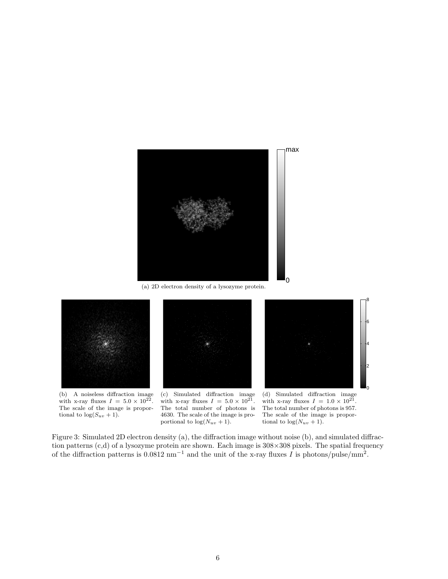

(a) 2D electron density of a lysozyme protein.



(b) A noiseless diffraction image with x-ray fluxes  $I = 5.0 \times 10^{22}$ . The scale of the image is proportional to  $\log(S_{uv} + 1)$ .

(c) Simulated diffraction image with x-ray fluxes  $I = 5.0 \times 10^{21}$ . The total number of photons is 4630. The scale of the image is proportional to  $log(N_{uv} + 1)$ .



8

(d) Simulated diffraction image with x-ray fluxes  $I = 1.0 \times 10^{21}$ . The total number of photons is 957. The scale of the image is proportional to  $\log(N_{uv} + 1)$ .

<span id="page-5-0"></span>Figure 3: Simulated 2D electron density (a), the diffraction image without noise (b), and simulated diffraction patterns (c,d) of a lysozyme protein are shown. Each image is 308×308 pixels. The spatial frequency of the diffraction patterns is  $0.0812 \text{ nm}^{-1}$  and the unit of the x-ray fluxes I is photons/pulse/mm<sup>2</sup>.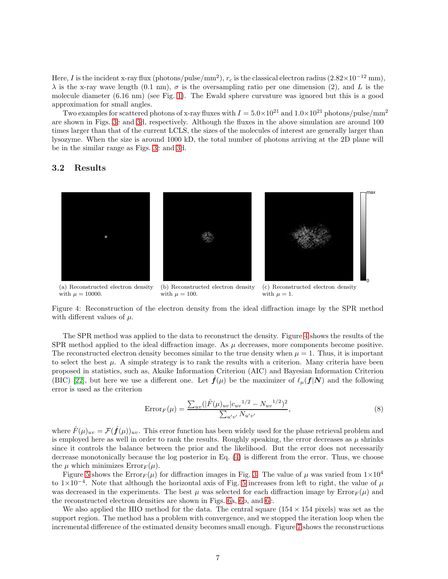Here, I is the incident x-ray flux (photons/pulse/mm<sup>2</sup>),  $r_c$  is the classical electron radius  $(2.82\times10^{-12}$  mm),  $\lambda$  is the x-ray wave length (0.1 nm),  $\sigma$  is the oversampling ratio per one dimension (2), and L is the molecule diameter (6.16 nm) (see Fig. [1\)](#page-2-0). The Ewald sphere curvature was ignored but this is a good approximation for small angles.

Two examples for scattered photons of x-ray fluxes with  $I = 5.0 \times 10^{21}$  and  $1.0 \times 10^{21}$  photons/pulse/mm<sup>2</sup> are shown in Figs. [3c](#page-5-0) and [3d](#page-5-0), respectively. Although the fluxes in the above simulation are around 100 times larger than that of the current LCLS, the sizes of the molecules of interest are generally larger than lysozyme. When the size is around 1000 kD, the total number of photons arriving at the 2D plane will be in the similar range as Figs. [3c](#page-5-0) and [3d](#page-5-0).

### 3.2 Results



with  $\mu = 10000$ . with  $\mu = 100$ . with  $\mu = 1$ .

<span id="page-6-0"></span>Figure 4: Reconstruction of the electron density from the ideal diffraction image by the SPR method with different values of  $\mu$ .

The SPR method was applied to the data to reconstruct the density. Figure [4](#page-6-0) shows the results of the SPR method applied to the ideal diffraction image. As  $\mu$  decreases, more components become positive. The reconstructed electron density becomes similar to the true density when  $\mu = 1$ . Thus, it is important to select the best  $\mu$ . A simple strategy is to rank the results with a criterion. Many criteria have been proposed in statistics, such as, Akaike Information Criterion (AIC) and Bayesian Information Criterion (BIC) [\[22\]](#page-12-11), but here we use a different one. Let  $\mathbf{f}(\mu)$  be the maximizer of  $\ell_{\mu}(\mathbf{f}|\mathbf{N})$  and the following error is used as the criterion

$$
Error_F(\mu) = \frac{\sum_{uv} (|\hat{F}(\mu)_{uv}|c_{uv}^{1/2} - N_{uv}^{1/2})^2}{\sum_{u'v'} N_{u'v'}},
$$
\n(8)

where  $\hat{F}(\mu)_{uv} = \mathcal{F}(\hat{f}(\mu))_{uv}$ . This error function has been widely used for the phase retrieval problem and is employed here as well in order to rank the results. Roughly speaking, the error decreases as  $\mu$  shrinks since it controls the balance between the prior and the likelihood. But the error does not necessarily decrease monotonically because the log posterior in Eq. [\(4\)](#page-3-1) is different from the error. Thus, we choose the  $\mu$  which minimizes  $Error_F(\mu)$ .

Figure [5](#page-7-0) shows the  $Error_F(\mu)$  for diffraction images in Fig. [3.](#page-5-0) The value of  $\mu$  was varied from  $1 \times 10^4$ to 1×10<sup>-4</sup>. Note that although the horizontal axis of Fig. [5](#page-7-0) increases from left to right, the value of  $\mu$ was decreased in the experiments. The best  $\mu$  was selected for each diffraction image by  $Error_F(\mu)$  and the reconstructed electron densities are shown in Figs. [6a](#page-7-1), [6b](#page-7-1), and [6c](#page-7-1).

We also applied the HIO method for the data. The central square  $(154 \times 154 \text{ pixels})$  was set as the support region. The method has a problem with convergence, and we stopped the iteration loop when the incremental difference of the estimated density becomes small enough. Figure [7](#page-7-2) shows the reconstructions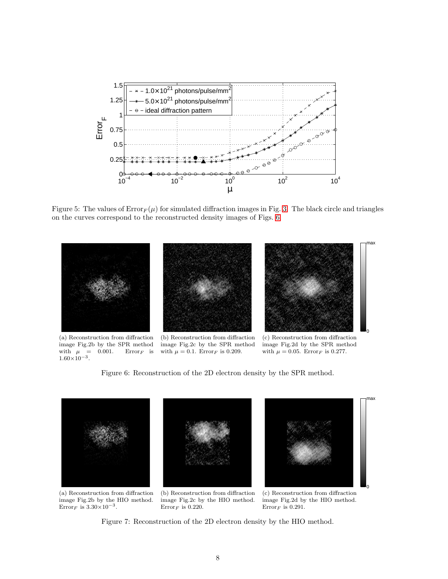

<span id="page-7-0"></span>Figure 5: The values of  $Error_F(\mu)$  for simulated diffraction images in Fig. [3.](#page-5-0) The black circle and triangles on the curves correspond to the reconstructed density images of Figs. [6.](#page-7-1)



(a) Reconstruction from diffraction image Fig.2b by the SPR method<br>with  $\mu = 0.001$ . Error<sub>F</sub> is with  $\mu$  =  $1.60\times10^{-3}$ .

(b) Reconstruction from diffraction image Fig.2c by the SPR method with  $\mu = 0.1$ . Error<sub>F</sub> is 0.209.

(c) Reconstruction from diffraction image Fig.2d by the SPR method with  $\mu = 0.05$ . Error<sub>F</sub> is 0.277.

<span id="page-7-1"></span>Figure 6: Reconstruction of the 2D electron density by the SPR method.



(a) Reconstruction from diffraction image Fig.2b by the HIO method. Error<sub>F</sub> is  $3.30 \times 10^{-3}$ .

(b) Reconstruction from diffraction image Fig.2c by the HIO method.  $\mathrm{Error}_F$  is 0.220.

(c) Reconstruction from diffraction image Fig.2d by the HIO method.  $\mathrm{Error}_F$  is 0.291.

<span id="page-7-2"></span>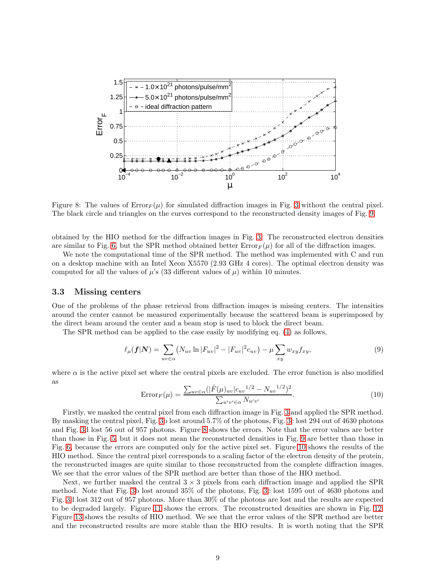

<span id="page-8-0"></span>Figure 8: The values of  $Error_F(\mu)$  for simulated diffraction images in Fig. [3](#page-5-0) without the central pixel. The black circle and triangles on the curves correspond to the reconstructed density images of Fig. [9.](#page-9-0)

obtained by the HIO method for the diffraction images in Fig. [3.](#page-5-0) The reconstructed electron densities are similar to Fig. [6,](#page-7-1) but the SPR method obtained better  $Error_F(\mu)$  for all of the diffraction images.

We note the computational time of the SPR method. The method was implemented with C and run on a desktop machine with an Intel Xeon X5570 (2.93 GHz 4 cores). The optimal electron density was computed for all the values of  $\mu$ 's (33 different values of  $\mu$ ) within 10 minutes.

#### 3.3 Missing centers

One of the problems of the phase retrieval from diffraction images is missing centers. The intensities around the center cannot be measured experimentally because the scattered beam is superimposed by the direct beam around the center and a beam stop is used to block the direct beam.

The SPR method can be applied to the case easily by modifying eq. [\(4\)](#page-3-1) as follows,

$$
\ell_{\mu}(\mathbf{f}|\mathbf{N}) = \sum_{uv \in \alpha} (N_{uv} \ln |F_{uv}|^2 - |F_{uv}|^2 c_{uv}) - \mu \sum_{xy} w_{xy} f_{xy}, \qquad (9)
$$

where  $\alpha$  is the active pixel set where the central pixels are excluded. The error function is also modified as

$$
Error_F(\mu) = \frac{\sum_{uv \in \alpha} (|\hat{F}(\mu)_{uv}|c_{uv}^{1/2} - N_{uv}^{1/2})^2}{\sum_{u'v' \in \alpha} N_{u'v'}}.
$$
\n(10)

Firstly, we masked the central pixel from each diffraction image in Fig. [3](#page-5-0) and applied the SPR method. By masking the central pixel, Fig. [3b](#page-5-0) lost around 5.7% of the photons, Fig. [3c](#page-5-0) lost 294 out of 4630 photons and Fig. [3d](#page-5-0) lost 56 out of 957 photons. Figure [8](#page-8-0) shows the errors. Note that the error values are better than those in Fig. [5,](#page-7-0) but it does not mean the reconstructed densities in Fig. [9](#page-9-0) are better than those in Fig. [6,](#page-7-1) because the errors are computed only for the active pixel set. Figure [10](#page-9-1) shows the results of the HIO method. Since the central pixel corresponds to a scaling factor of the electron density of the protein, the reconstructed images are quite similar to those reconstructed from the complete diffraction images. We see that the error values of the SPR method are better than those of the HIO method.

Next, we further masked the central  $3 \times 3$  pixels from each diffraction image and applied the SPR method. Note that Fig. [3b](#page-5-0) lost around 35% of the photons, Fig. [3c](#page-5-0) lost 1595 out of 4630 photons and Fig. [3d](#page-5-0) lost 312 out of 957 photons. More than 30% of the photons are lost and the results are expected to be degraded largely. Figure [11](#page-10-0) shows the errors. The reconstructed densities are shown in Fig. [12.](#page-10-1) Figure [13](#page-10-2) shows the results of HIO method. We see that the error values of the SPR method are better and the reconstructed results are more stable than the HIO results. It is worth noting that the SPR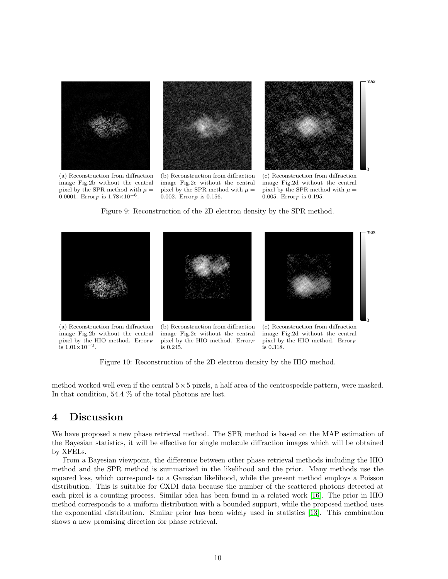

image Fig.2b without the central pixel by the SPR method with  $\mu =$ 0.0001. Error<sub>F</sub> is  $1.78 \times 10^{-6}$ .

(b) Reconstruction from diffraction image Fig.2c without the central pixel by the SPR method with  $\mu =$ 0.002. Error<sub>F</sub> is 0.156.

image Fig.2d without the central pixel by the SPR method with  $\mu =$ 0.005. Error<sub>F</sub> is 0.195.

<span id="page-9-0"></span>Figure 9: Reconstruction of the 2D electron density by the SPR method.



(a) Reconstruction from diffraction image Fig.2b without the central pixel by the HIO method.  $Error_F$  $\frac{1}{1}$  is 1.01×10<sup>-2</sup>.

(b) Reconstruction from diffraction image Fig.2c without the central pixel by the HIO method.  $Error_F$ is 0.245.

(c) Reconstruction from diffraction image Fig.2d without the central pixel by the HIO method.  $Error_F$ is 0.318.

<span id="page-9-1"></span>Figure 10: Reconstruction of the 2D electron density by the HIO method.

method worked well even if the central  $5\times 5$  pixels, a half area of the centrospeckle pattern, were masked. In that condition, 54.4 % of the total photons are lost.

# 4 Discussion

We have proposed a new phase retrieval method. The SPR method is based on the MAP estimation of the Bayesian statistics, it will be effective for single molecule diffraction images which will be obtained by XFELs.

From a Bayesian viewpoint, the difference between other phase retrieval methods including the HIO method and the SPR method is summarized in the likelihood and the prior. Many methods use the squared loss, which corresponds to a Gaussian likelihood, while the present method employs a Poisson distribution. This is suitable for CXDI data because the number of the scattered photons detected at each pixel is a counting process. Similar idea has been found in a related work [\[16\]](#page-12-5). The prior in HIO method corresponds to a uniform distribution with a bounded support, while the proposed method uses the exponential distribution. Similar prior has been widely used in statistics [\[13\]](#page-12-2). This combination shows a new promising direction for phase retrieval.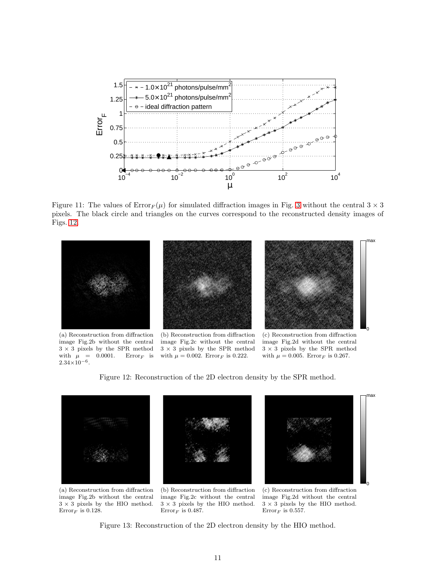

<span id="page-10-0"></span>Figure 11: The values of  $Error_F(\mu)$  for simulated diffraction images in Fig. [3](#page-5-0) without the central  $3 \times 3$ pixels. The black circle and triangles on the curves correspond to the reconstructed density images of Figs. [12.](#page-10-1)



(a) Reconstruction from diffraction image Fig.2b without the central 3 × 3 pixels by the SPR method with  $\mu = 0.0001$ . Error<sub>F</sub> is  $2.34\times10^{-6}$ .

(b) Reconstruction from diffraction image Fig.2c without the central 3 × 3 pixels by the SPR method with  $\mu = 0.002$ . Error<sub>F</sub> is 0.222.

(c) Reconstruction from diffraction image Fig.2d without the central 3 × 3 pixels by the SPR method with  $\mu = 0.005$ . Error<sub>F</sub> is 0.267.

<span id="page-10-1"></span>Figure 12: Reconstruction of the 2D electron density by the SPR method.



(a) Reconstruction from diffraction image Fig.2b without the central  $3 \times 3$  pixels by the HIO method. Error<sub>F</sub> is 0.128.

(b) Reconstruction from diffraction image Fig.2c without the central  $3 \times 3$  pixels by the HIO method.  $Error_F$  is 0.487.

(c) Reconstruction from diffraction image Fig.2d without the central  $3 \times 3$  pixels by the HIO method. Error<sub>F</sub> is 0.557.

<span id="page-10-2"></span>Figure 13: Reconstruction of the 2D electron density by the HIO method.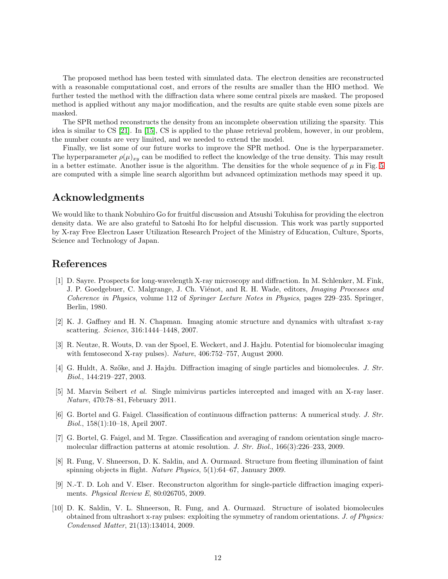The proposed method has been tested with simulated data. The electron densities are reconstructed with a reasonable computational cost, and errors of the results are smaller than the HIO method. We further tested the method with the diffraction data where some central pixels are masked. The proposed method is applied without any major modification, and the results are quite stable even some pixels are masked.

The SPR method reconstructs the density from an incomplete observation utilizing the sparsity. This idea is similar to CS [\[21\]](#page-12-9). In [\[15\]](#page-12-4), CS is applied to the phase retrieval problem, however, in our problem, the number counts are very limited, and we needed to extend the model.

Finally, we list some of our future works to improve the SPR method. One is the hyperparameter. The hyperparameter  $\rho(\mu)_{xy}$  can be modified to reflect the knowledge of the true density. This may result in a better estimate. Another issue is the algorithm. The densities for the whole sequence of  $\mu$  in Fig. [5](#page-7-0) are computed with a simple line search algorithm but advanced optimization methods may speed it up.

# Acknowledgments

We would like to thank Nobuhiro Go for fruitful discussion and Atsushi Tokuhisa for providing the electron density data. We are also grateful to Satoshi Ito for helpful discussion. This work was partly supported by X-ray Free Electron Laser Utilization Research Project of the Ministry of Education, Culture, Sports, Science and Technology of Japan.

### <span id="page-11-0"></span>References

- [1] D. Sayre. Prospects for long-wavelength X-ray microscopy and diffraction. In M. Schlenker, M. Fink, J. P. Goedgebuer, C. Malgrange, J. Ch. Vienot, and R. H. Wade, editors, *Imaging Processes and Coherence in Physics*, volume 112 of *Springer Lecture Notes in Physics*, pages 229–235. Springer, Berlin, 1980.
- <span id="page-11-1"></span>[2] K. J. Gaffney and H. N. Chapman. Imaging atomic structure and dynamics with ultrafast x-ray scattering. *Science*, 316:1444–1448, 2007.
- <span id="page-11-2"></span>[3] R. Neutze, R. Wouts, D. van der Spoel, E. Weckert, and J. Hajdu. Potential for biomolecular imaging with femtosecond X-ray pulses). *Nature*, 406:752–757, August 2000.
- <span id="page-11-4"></span><span id="page-11-3"></span>[4] G. Huldt, A. Sz˝oke, and J. Hajdu. Diffraction imaging of single particles and biomolecules. *J. Str. Biol.*, 144:219–227, 2003.
- [5] M. Marvin Seibert *et al.* Single mimivirus particles intercepted and imaged with an X-ray laser. *Nature*, 470:78–81, February 2011.
- <span id="page-11-5"></span>[6] G. Bortel and G. Faigel. Classification of continuous diffraction patterns: A numerical study. *J. Str. Biol.*, 158(1):10–18, April 2007.
- <span id="page-11-6"></span>[7] G. Bortel, G. Faigel, and M. Tegze. Classification and averaging of random orientation single macromolecular diffraction patterns at atomic resolution. *J. Str. Biol.*, 166(3):226–233, 2009.
- <span id="page-11-7"></span>[8] R. Fung, V. Shneerson, D. K. Saldin, and A. Ourmazd. Structure from fleeting illumination of faint spinning objects in flight. *Nature Physics*, 5(1):64–67, January 2009.
- [9] N.-T. D. Loh and V. Elser. Reconstructon algorithm for single-particle diffraction imaging experiments. *Physical Review E*, 80:026705, 2009.
- <span id="page-11-8"></span>[10] D. K. Saldin, V. L. Shneerson, R. Fung, and A. Ourmazd. Structure of isolated biomolecules obtained from ultrashort x-ray pulses: exploiting the symmetry of random orientations. *J. of Physics: Condensed Matter*, 21(13):134014, 2009.